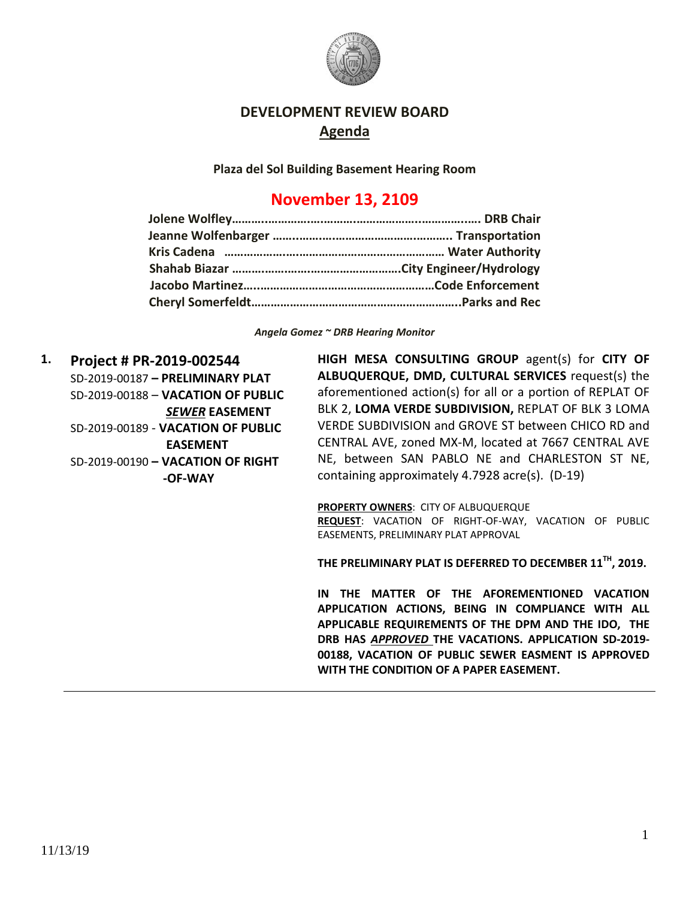

## **DEVELOPMENT REVIEW BOARD Agenda**

**Plaza del Sol Building Basement Hearing Room**

## **November 13, 2109**

*Angela Gomez ~ DRB Hearing Monitor*

**1. Project # PR-2019-002544** SD-2019-00187 **– PRELIMINARY PLAT** SD-2019-00188 – **VACATION OF PUBLIC** *SEWER* **EASEMENT** SD-2019-00189 - **VACATION OF PUBLIC EASEMENT** SD-2019-00190 **– VACATION OF RIGHT -OF-WAY**

**HIGH MESA CONSULTING GROUP** agent(s) for **CITY OF ALBUQUERQUE, DMD, CULTURAL SERVICES** request(s) the aforementioned action(s) for all or a portion of REPLAT OF BLK 2, **LOMA VERDE SUBDIVISION,** REPLAT OF BLK 3 LOMA VERDE SUBDIVISION and GROVE ST between CHICO RD and CENTRAL AVE, zoned MX-M, located at 7667 CENTRAL AVE NE, between SAN PABLO NE and CHARLESTON ST NE, containing approximately 4.7928 acre(s). (D-19)

**PROPERTY OWNERS**: CITY OF ALBUQUERQUE **REQUEST**: VACATION OF RIGHT-OF-WAY, VACATION OF PUBLIC EASEMENTS, PRELIMINARY PLAT APPROVAL

**THE PRELIMINARY PLAT IS DEFERRED TO DECEMBER 11TH, 2019.**

**IN THE MATTER OF THE AFOREMENTIONED VACATION APPLICATION ACTIONS, BEING IN COMPLIANCE WITH ALL APPLICABLE REQUIREMENTS OF THE DPM AND THE IDO, THE DRB HAS** *APPROVED* **THE VACATIONS. APPLICATION SD-2019- 00188, VACATION OF PUBLIC SEWER EASMENT IS APPROVED WITH THE CONDITION OF A PAPER EASEMENT.**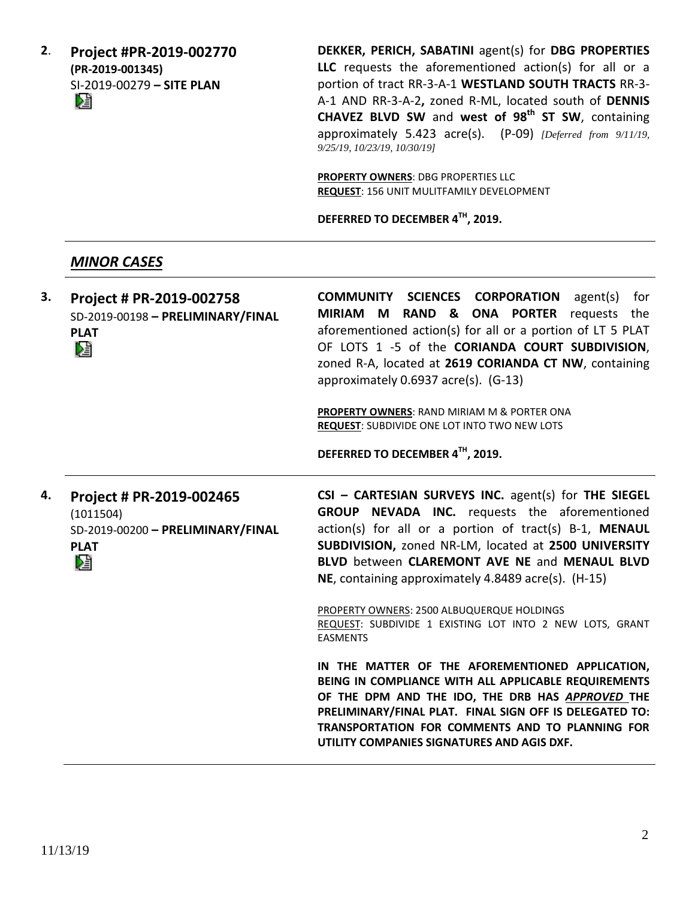**2**. **Project #PR-2019-002770 (PR-2019-001345)** SI-2019-00279 **– SITE PLAN**

**DEKKER, PERICH, SABATINI** agent(s) for **DBG PROPERTIES LLC** requests the aforementioned action(s) for all or a portion of tract RR-3-A-1 **WESTLAND SOUTH TRACTS** RR-3- A-1 AND RR-3-A-2**,** zoned R-ML, located south of **DENNIS CHAVEZ BLVD SW** and **west of 98th ST SW**, containing approximately 5.423 acre(s). (P-09) *[Deferred from 9/11/19, 9/25/19, 10/23/19, 10/30/19]*

**PROPERTY OWNERS**: DBG PROPERTIES LLC **REQUEST**: 156 UNIT MULITFAMILY DEVELOPMENT

**DEFERRED TO DECEMBER 4TH, 2019.**

## *MINOR CASES*

| 3. | Project # PR-2019-002758<br>SD-2019-00198 - PRELIMINARY/FINAL<br><b>PLAT</b><br>V.             | COMMUNITY SCIENCES CORPORATION<br>$agent(s)$ for<br>MIRIAM M RAND & ONA PORTER requests the<br>aforementioned action(s) for all or a portion of LT 5 PLAT<br>OF LOTS 1 -5 of the CORIANDA COURT SUBDIVISION,<br>zoned R-A, located at 2619 CORIANDA CT NW, containing<br>approximately 0.6937 acre(s). (G-13)<br>PROPERTY OWNERS: RAND MIRIAM M & PORTER ONA<br>REQUEST: SUBDIVIDE ONE LOT INTO TWO NEW LOTS<br>DEFERRED TO DECEMBER 4TH, 2019. |
|----|------------------------------------------------------------------------------------------------|-------------------------------------------------------------------------------------------------------------------------------------------------------------------------------------------------------------------------------------------------------------------------------------------------------------------------------------------------------------------------------------------------------------------------------------------------|
| 4. | Project # PR-2019-002465<br>(1011504)<br>SD-2019-00200 - PRELIMINARY/FINAL<br><b>PLAT</b><br>巆 | CSI - CARTESIAN SURVEYS INC. agent(s) for THE SIEGEL<br><b>GROUP NEVADA INC.</b> requests the aforementioned<br>action(s) for all or a portion of tract(s) B-1, MENAUL<br>SUBDIVISION, zoned NR-LM, located at 2500 UNIVERSITY<br>BLVD between CLAREMONT AVE NE and MENAUL BLVD<br>NE, containing approximately 4.8489 acre(s). (H-15)<br>PROPERTY OWNERS: 2500 ALBUQUERQUE HOLDINGS                                                            |
|    |                                                                                                | REQUEST: SUBDIVIDE 1 EXISTING LOT INTO 2 NEW LOTS, GRANT<br><b>EASMENTS</b><br>IN THE MATTER OF THE AFOREMENTIONED APPLICATION,<br>BEING IN COMPLIANCE WITH ALL APPLICABLE REQUIREMENTS<br>OF THE DPM AND THE IDO, THE DRB HAS APPROVED THE<br>PRELIMINARY/FINAL PLAT. FINAL SIGN OFF IS DELEGATED TO:<br>TRANSPORTATION FOR COMMENTS AND TO PLANNING FOR<br>UTILITY COMPANIES SIGNATURES AND AGIS DXF.                                         |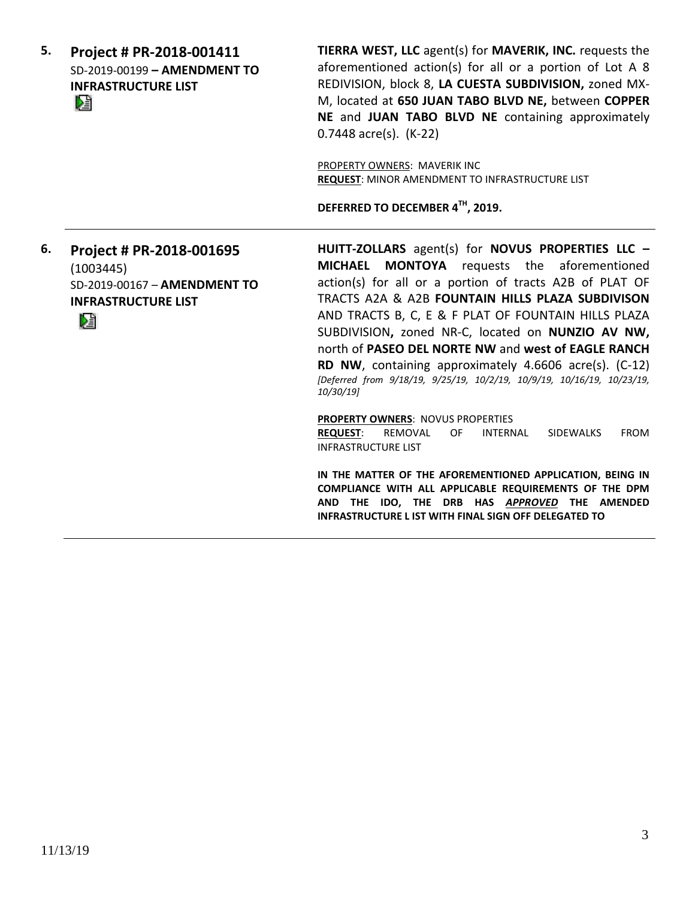**5. Project # PR-2018-001411** SD-2019-00199 **– AMENDMENT TO INFRASTRUCTURE LIST** 

**TIERRA WEST, LLC** agent(s) for **MAVERIK, INC.** requests the aforementioned action(s) for all or a portion of Lot A 8 REDIVISION, block 8, **LA CUESTA SUBDIVISION,** zoned MX-M, located at **650 JUAN TABO BLVD NE,** between **COPPER NE** and **JUAN TABO BLVD NE** containing approximately 0.7448 acre(s). (K-22)

PROPERTY OWNERS: MAVERIK INC **REQUEST**: MINOR AMENDMENT TO INFRASTRUCTURE LIST

**DEFERRED TO DECEMBER 4TH, 2019.**

**6. Project # PR-2018-001695**  (1003445) SD-2019-00167 – **AMENDMENT TO INFRASTRUCTURE LIST** DÊ

**HUITT-ZOLLARS** agent(s) for **NOVUS PROPERTIES LLC – MICHAEL MONTOYA** requests the aforementioned action(s) for all or a portion of tracts A2B of PLAT OF TRACTS A2A & A2B **FOUNTAIN HILLS PLAZA SUBDIVISON** AND TRACTS B, C, E & F PLAT OF FOUNTAIN HILLS PLAZA SUBDIVISION**,** zoned NR-C, located on **NUNZIO AV NW,**  north of **PASEO DEL NORTE NW** and **west of EAGLE RANCH RD NW**, containing approximately 4.6606 acre(s). (C-12) *[Deferred from 9/18/19, 9/25/19, 10/2/19, 10/9/19, 10/16/19, 10/23/19, 10/30/19]*

**PROPERTY OWNERS**: NOVUS PROPERTIES **REQUEST**: REMOVAL OF INTERNAL SIDEWALKS FROM INFRASTRUCTURE LIST

**IN THE MATTER OF THE AFOREMENTIONED APPLICATION, BEING IN COMPLIANCE WITH ALL APPLICABLE REQUIREMENTS OF THE DPM AND THE IDO, THE DRB HAS** *APPROVED* **THE AMENDED INFRASTRUCTURE L IST WITH FINAL SIGN OFF DELEGATED TO**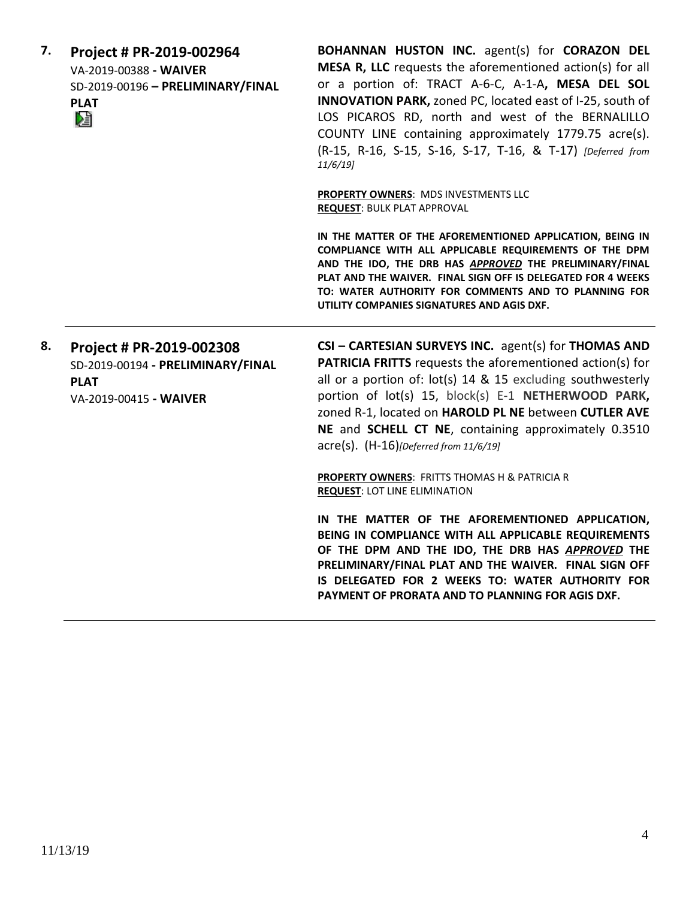| 7. | Project # PR-2019-002964<br>VA-2019-00388 - WAIVER<br>SD-2019-00196 - PRELIMINARY/FINAL<br><b>PLAT</b><br>Œ | BOHANNAN HUSTON INC. agent(s) for CORAZON DEL<br>MESA R, LLC requests the aforementioned action(s) for all<br>or a portion of: TRACT A-6-C, A-1-A, MESA DEL SOL<br>INNOVATION PARK, zoned PC, located east of I-25, south of<br>LOS PICAROS RD, north and west of the BERNALILLO<br>COUNTY LINE containing approximately 1779.75 acre(s).<br>(R-15, R-16, S-15, S-16, S-17, T-16, & T-17) [Deferred from<br>11/6/19<br>PROPERTY OWNERS: MDS INVESTMENTS LLC<br><b>REQUEST: BULK PLAT APPROVAL</b> |
|----|-------------------------------------------------------------------------------------------------------------|---------------------------------------------------------------------------------------------------------------------------------------------------------------------------------------------------------------------------------------------------------------------------------------------------------------------------------------------------------------------------------------------------------------------------------------------------------------------------------------------------|
|    |                                                                                                             | IN THE MATTER OF THE AFOREMENTIONED APPLICATION, BEING IN<br>COMPLIANCE WITH ALL APPLICABLE REQUIREMENTS OF THE DPM<br>AND THE IDO, THE DRB HAS APPROVED THE PRELIMINARY/FINAL<br>PLAT AND THE WAIVER. FINAL SIGN OFF IS DELEGATED FOR 4 WEEKS<br>TO: WATER AUTHORITY FOR COMMENTS AND TO PLANNING FOR<br>UTILITY COMPANIES SIGNATURES AND AGIS DXF.                                                                                                                                              |
| 8. | Project # PR-2019-002308<br>SD-2019-00194 - PRELIMINARY/FINAL<br><b>PLAT</b><br>VA-2019-00415 - WAIVER      | CSI - CARTESIAN SURVEYS INC. agent(s) for THOMAS AND<br><b>PATRICIA FRITTS</b> requests the aforementioned action(s) for<br>all or a portion of: lot(s) 14 & 15 excluding southwesterly<br>portion of lot(s) 15, block(s) E-1 NETHERWOOD PARK,<br>zoned R-1, located on HAROLD PL NE between CUTLER AVE<br>NE and SCHELL CT NE, containing approximately 0.3510<br>$\text{acre}(s)$ . $(H-16)$ [Deferred from 11/6/19]                                                                            |
|    |                                                                                                             | <b>PROPERTY OWNERS: FRITTS THOMAS H &amp; PATRICIA R</b><br><b>REQUEST: LOT LINE ELIMINATION</b>                                                                                                                                                                                                                                                                                                                                                                                                  |
|    |                                                                                                             | IN THE MATTER OF THE AFOREMENTIONED APPLICATION,<br>BEING IN COMPLIANCE WITH ALL APPLICABLE REQUIREMENTS<br>OF THE DPM AND THE IDO, THE DRB HAS APPROVED THE<br>PRELIMINARY/FINAL PLAT AND THE WAIVER. FINAL SIGN OFF<br>IS DELEGATED FOR 2 WEEKS TO: WATER AUTHORITY FOR<br>PAYMENT OF PRORATA AND TO PLANNING FOR AGIS DXF.                                                                                                                                                                     |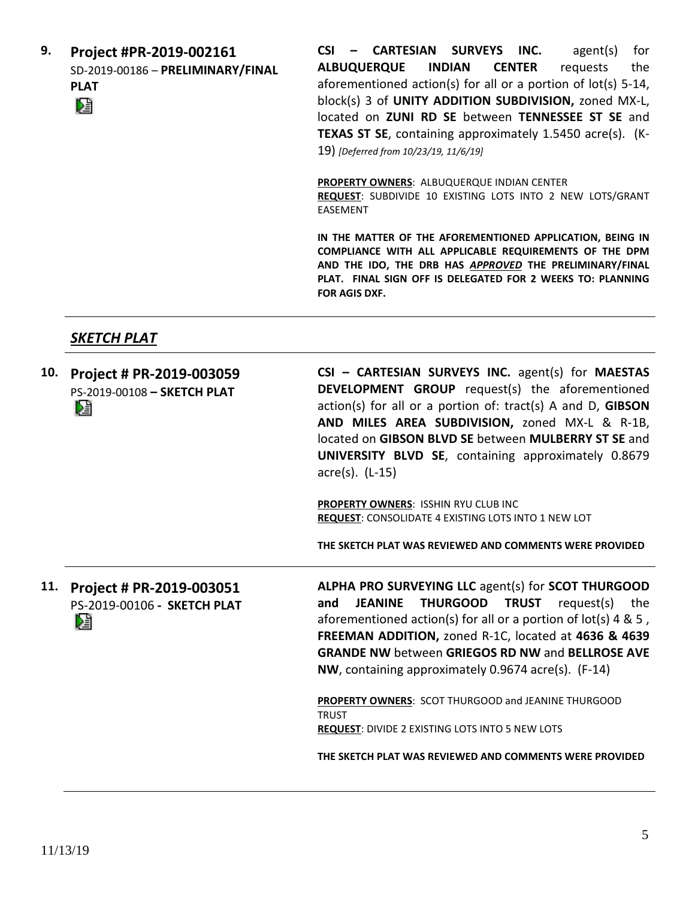**9. Project #PR-2019-002161** SD-2019-00186 – **PRELIMINARY/FINAL PLAT**

**CSI – CARTESIAN SURVEYS INC.** agent(s) for **ALBUQUERQUE INDIAN CENTER** requests the aforementioned action(s) for all or a portion of lot(s) 5-14, block(s) 3 of **UNITY ADDITION SUBDIVISION,** zoned MX-L, located on **ZUNI RD SE** between **TENNESSEE ST SE** and **TEXAS ST SE**, containing approximately 1.5450 acre(s). (K-19) *[Deferred from 10/23/19, 11/6/19]*

**PROPERTY OWNERS**: ALBUQUERQUE INDIAN CENTER **REQUEST**: SUBDIVIDE 10 EXISTING LOTS INTO 2 NEW LOTS/GRANT EASEMENT

**IN THE MATTER OF THE AFOREMENTIONED APPLICATION, BEING IN COMPLIANCE WITH ALL APPLICABLE REQUIREMENTS OF THE DPM AND THE IDO, THE DRB HAS** *APPROVED* **THE PRELIMINARY/FINAL PLAT. FINAL SIGN OFF IS DELEGATED FOR 2 WEEKS TO: PLANNING FOR AGIS DXF.**

## *SKETCH PLAT*

| 10. | Project # PR-2019-003059<br>PS-2019-00108 - SKETCH PLAT<br>DJ | CSI - CARTESIAN SURVEYS INC. agent(s) for MAESTAS<br><b>DEVELOPMENT GROUP</b> request(s) the aforementioned<br>action(s) for all or a portion of: tract(s) A and D, GIBSON<br>AND MILES AREA SUBDIVISION, zoned MX-L & R-1B,<br>located on GIBSON BLVD SE between MULBERRY ST SE and<br>UNIVERSITY BLVD SE, containing approximately 0.8679<br>acre(s). (L-15)<br>PROPERTY OWNERS: ISSHIN RYU CLUB INC<br>REQUEST: CONSOLIDATE 4 EXISTING LOTS INTO 1 NEW LOT<br>THE SKETCH PLAT WAS REVIEWED AND COMMENTS WERE PROVIDED |
|-----|---------------------------------------------------------------|--------------------------------------------------------------------------------------------------------------------------------------------------------------------------------------------------------------------------------------------------------------------------------------------------------------------------------------------------------------------------------------------------------------------------------------------------------------------------------------------------------------------------|
| 11. | Project # PR-2019-003051<br>PS-2019-00106 - SKETCH PLAT<br>N  | ALPHA PRO SURVEYING LLC agent(s) for SCOT THURGOOD<br>THURGOOD TRUST<br><b>JEANINE</b><br>request(s)<br>and<br>the<br>aforementioned action(s) for all or a portion of $lot(s)$ 4 & 5,<br>FREEMAN ADDITION, zoned R-1C, located at 4636 & 4639<br><b>GRANDE NW between GRIEGOS RD NW and BELLROSE AVE</b><br>NW, containing approximately 0.9674 acre(s). (F-14)                                                                                                                                                         |
|     |                                                               | PROPERTY OWNERS: SCOT THURGOOD and JEANINE THURGOOD<br><b>TRUST</b><br><b>REQUEST: DIVIDE 2 EXISTING LOTS INTO 5 NEW LOTS</b><br>THE SKETCH PLAT WAS REVIEWED AND COMMENTS WERE PROVIDED                                                                                                                                                                                                                                                                                                                                 |